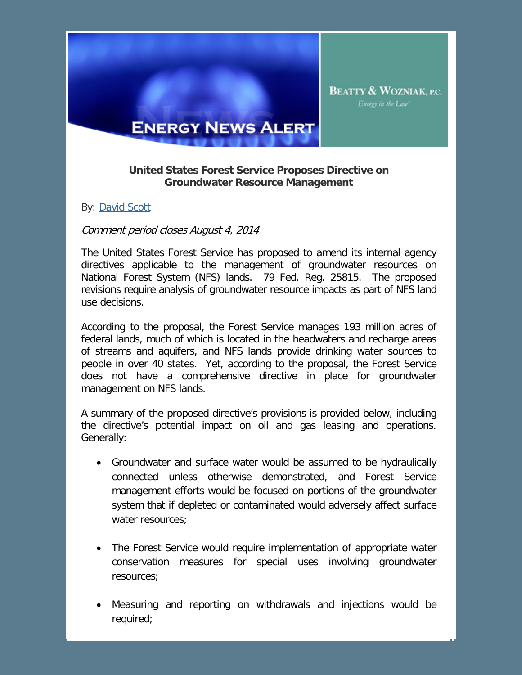

## **United States Forest Service Proposes Directive on Groundwater Resource Management**

By: David Scott

## Comment period closes August 4, 2014

The United States Forest Service has proposed to amend its internal agency directives applicable to the management of groundwater resources on National Forest System (NFS) lands. 79 Fed. Reg. 25815. The proposed revisions require analysis of groundwater resource impacts as part of NFS land use decisions.

According to the proposal, the Forest Service manages 193 million acres of federal lands, much of which is located in the headwaters and recharge areas of streams and aquifers, and NFS lands provide drinking water sources to people in over 40 states. Yet, according to the proposal, the Forest Service does not have a comprehensive directive in place for groundwater management on NFS lands.

A summary of the proposed directive's provisions is provided below, including the directive's potential impact on oil and gas leasing and operations. Generally:

- Groundwater and surface water would be assumed to be hydraulically connected unless otherwise demonstrated, and Forest Service management efforts would be focused on portions of the groundwater system that if depleted or contaminated would adversely affect surface water resources;
- The Forest Service would require implementation of appropriate water conservation measures for special uses involving groundwater resources;
- Measuring and reporting on withdrawals and injections would be required;